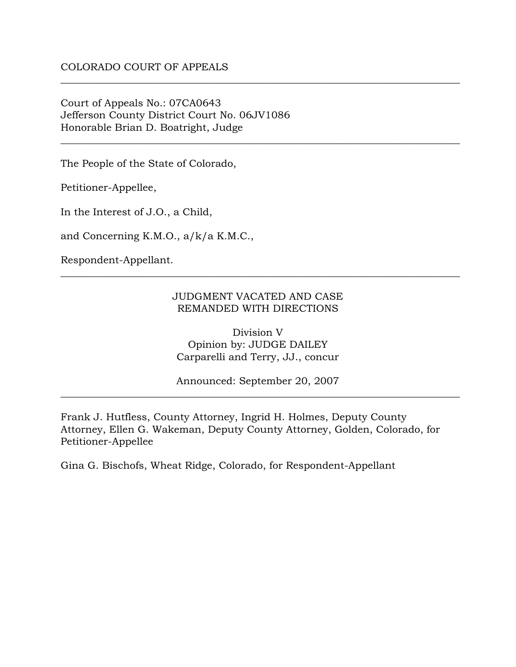Court of Appeals No.: 07CA0643 Jefferson County District Court No. 06JV1086 Honorable Brian D. Boatright, Judge

The People of the State of Colorado,

Petitioner-Appellee,

In the Interest of J.O., a Child,

and Concerning K.M.O., a/k/a K.M.C.,

Respondent-Appellant.

## JUDGMENT VACATED AND CASE REMANDED WITH DIRECTIONS

\_\_\_\_\_\_\_\_\_\_\_\_\_\_\_\_\_\_\_\_\_\_\_\_\_\_\_\_\_\_\_\_\_\_\_\_\_\_\_\_\_\_\_\_\_\_\_\_\_\_\_\_\_\_\_\_\_\_\_\_\_\_\_\_\_\_\_\_\_\_\_\_\_\_\_\_\_\_\_

\_\_\_\_\_\_\_\_\_\_\_\_\_\_\_\_\_\_\_\_\_\_\_\_\_\_\_\_\_\_\_\_\_\_\_\_\_\_\_\_\_\_\_\_\_\_\_\_\_\_\_\_\_\_\_\_\_\_\_\_\_\_\_\_\_\_\_\_\_\_\_\_\_\_\_\_\_\_\_

\_\_\_\_\_\_\_\_\_\_\_\_\_\_\_\_\_\_\_\_\_\_\_\_\_\_\_\_\_\_\_\_\_\_\_\_\_\_\_\_\_\_\_\_\_\_\_\_\_\_\_\_\_\_\_\_\_\_\_\_\_\_\_\_\_\_\_\_\_\_\_\_\_\_\_\_\_\_\_

Division V Opinion by: JUDGE DAILEY Carparelli and Terry, JJ., concur

Announced: September 20, 2007 \_\_\_\_\_\_\_\_\_\_\_\_\_\_\_\_\_\_\_\_\_\_\_\_\_\_\_\_\_\_\_\_\_\_\_\_\_\_\_\_\_\_\_\_\_\_\_\_\_\_\_\_\_\_\_\_\_\_\_\_\_\_\_\_\_\_\_\_\_\_\_\_\_\_\_\_\_\_\_

Frank J. Hutfless, County Attorney, Ingrid H. Holmes, Deputy County Attorney, Ellen G. Wakeman, Deputy County Attorney, Golden, Colorado, for Petitioner-Appellee

Gina G. Bischofs, Wheat Ridge, Colorado, for Respondent-Appellant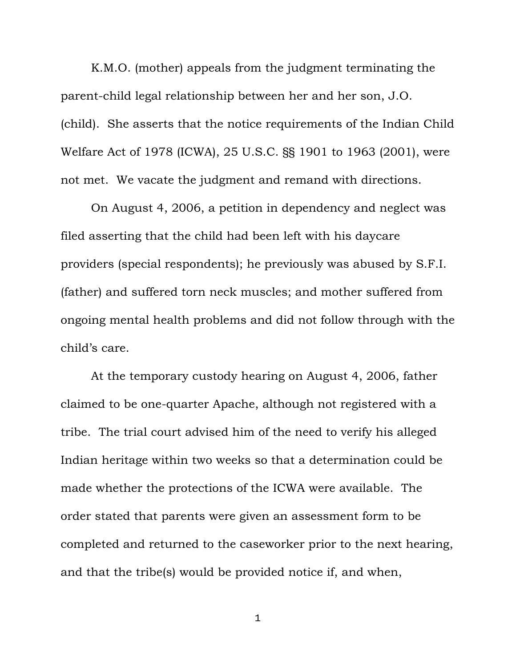K.M.O. (mother) appeals from the judgment terminating the parent-child legal relationship between her and her son, J.O. (child). She asserts that the notice requirements of the Indian Child Welfare Act of 1978 (ICWA), 25 U.S.C. §§ 1901 to 1963 (2001), were not met. We vacate the judgment and remand with directions.

 On August 4, 2006, a petition in dependency and neglect was filed asserting that the child had been left with his daycare providers (special respondents); he previously was abused by S.F.I. (father) and suffered torn neck muscles; and mother suffered from ongoing mental health problems and did not follow through with the child's care.

 At the temporary custody hearing on August 4, 2006, father claimed to be one-quarter Apache, although not registered with a tribe. The trial court advised him of the need to verify his alleged Indian heritage within two weeks so that a determination could be made whether the protections of the ICWA were available. The order stated that parents were given an assessment form to be completed and returned to the caseworker prior to the next hearing, and that the tribe(s) would be provided notice if, and when,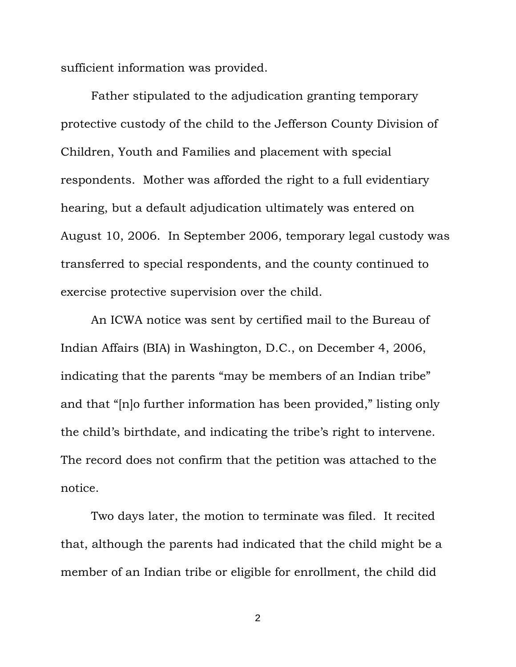sufficient information was provided.

 Father stipulated to the adjudication granting temporary protective custody of the child to the Jefferson County Division of Children, Youth and Families and placement with special respondents. Mother was afforded the right to a full evidentiary hearing, but a default adjudication ultimately was entered on August 10, 2006. In September 2006, temporary legal custody was transferred to special respondents, and the county continued to exercise protective supervision over the child.

 An ICWA notice was sent by certified mail to the Bureau of Indian Affairs (BIA) in Washington, D.C., on December 4, 2006, indicating that the parents "may be members of an Indian tribe" and that "[n]o further information has been provided," listing only the child's birthdate, and indicating the tribe's right to intervene. The record does not confirm that the petition was attached to the notice.

 Two days later, the motion to terminate was filed. It recited that, although the parents had indicated that the child might be a member of an Indian tribe or eligible for enrollment, the child did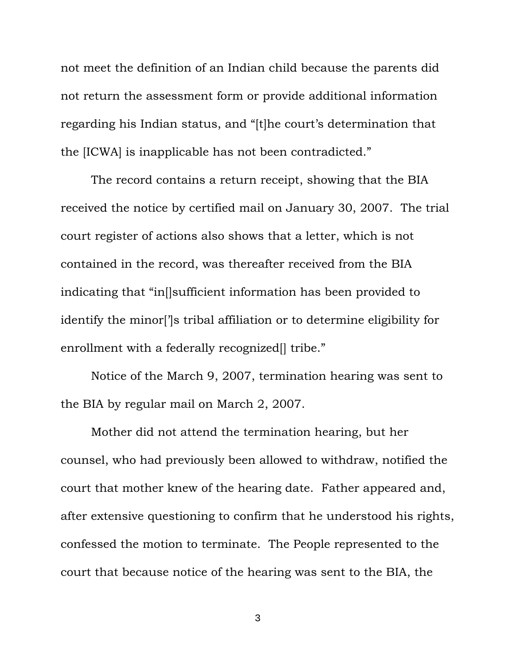not meet the definition of an Indian child because the parents did not return the assessment form or provide additional information regarding his Indian status, and "[t]he court's determination that the [ICWA] is inapplicable has not been contradicted."

 The record contains a return receipt, showing that the BIA received the notice by certified mail on January 30, 2007. The trial court register of actions also shows that a letter, which is not contained in the record, was thereafter received from the BIA indicating that "in[]sufficient information has been provided to identify the minor[']s tribal affiliation or to determine eligibility for enrollment with a federally recognized<sup>[]</sup> tribe."

 Notice of the March 9, 2007, termination hearing was sent to the BIA by regular mail on March 2, 2007.

 Mother did not attend the termination hearing, but her counsel, who had previously been allowed to withdraw, notified the court that mother knew of the hearing date. Father appeared and, after extensive questioning to confirm that he understood his rights, confessed the motion to terminate. The People represented to the court that because notice of the hearing was sent to the BIA, the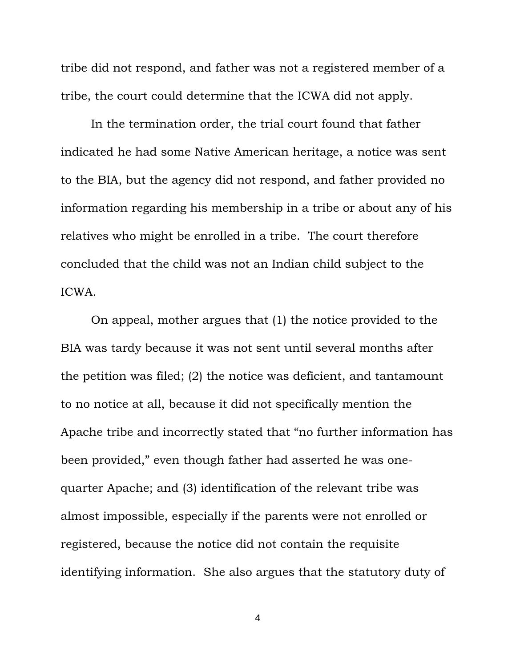tribe did not respond, and father was not a registered member of a tribe, the court could determine that the ICWA did not apply.

 In the termination order, the trial court found that father indicated he had some Native American heritage, a notice was sent to the BIA, but the agency did not respond, and father provided no information regarding his membership in a tribe or about any of his relatives who might be enrolled in a tribe. The court therefore concluded that the child was not an Indian child subject to the ICWA.

 On appeal, mother argues that (1) the notice provided to the BIA was tardy because it was not sent until several months after the petition was filed; (2) the notice was deficient, and tantamount to no notice at all, because it did not specifically mention the Apache tribe and incorrectly stated that "no further information has been provided," even though father had asserted he was onequarter Apache; and (3) identification of the relevant tribe was almost impossible, especially if the parents were not enrolled or registered, because the notice did not contain the requisite identifying information. She also argues that the statutory duty of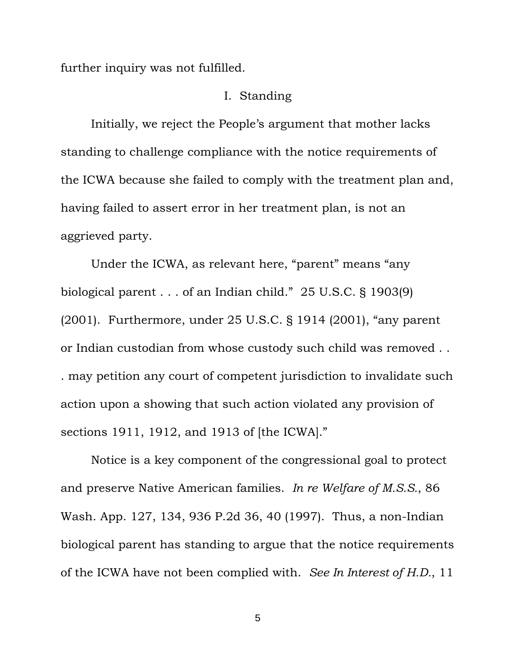further inquiry was not fulfilled.

## I. Standing

 Initially, we reject the People's argument that mother lacks standing to challenge compliance with the notice requirements of the ICWA because she failed to comply with the treatment plan and, having failed to assert error in her treatment plan, is not an aggrieved party.

 Under the ICWA, as relevant here, "parent" means "any biological parent . . . of an Indian child." 25 U.S.C. § 1903(9) (2001). Furthermore, under 25 U.S.C. § 1914 (2001), "any parent or Indian custodian from whose custody such child was removed . . . may petition any court of competent jurisdiction to invalidate such action upon a showing that such action violated any provision of sections 1911, 1912, and 1913 of [the ICWA]."

 Notice is a key component of the congressional goal to protect and preserve Native American families. *In re Welfare of M.S.S.*, 86 Wash. App. 127, 134, 936 P.2d 36, 40 (1997). Thus, a non-Indian biological parent has standing to argue that the notice requirements of the ICWA have not been complied with. *See In Interest of H.D.*, 11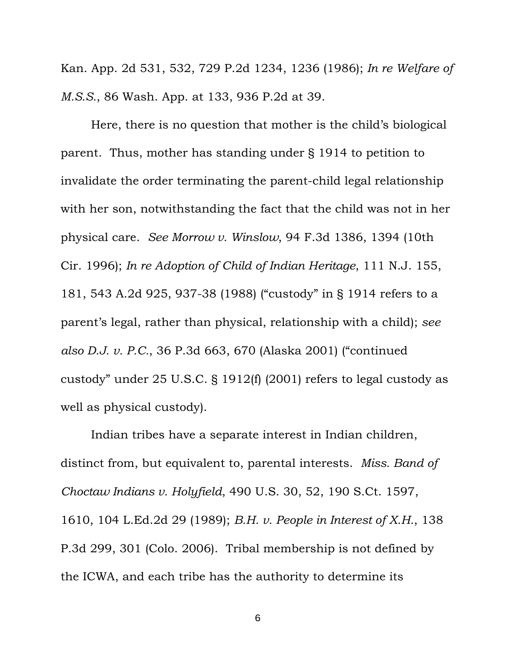Kan. App. 2d 531, 532, 729 P.2d 1234, 1236 (1986); *In re Welfare of M.S.S.*, 86 Wash. App. at 133, 936 P.2d at 39.

 Here, there is no question that mother is the child's biological parent. Thus, mother has standing under § 1914 to petition to invalidate the order terminating the parent-child legal relationship with her son, notwithstanding the fact that the child was not in her physical care. *See Morrow v. Winslow*, 94 F.3d 1386, 1394 (10th Cir. 1996); *In re Adoption of Child of Indian Heritage*, 111 N.J. 155, 181, 543 A.2d 925, 937-38 (1988) ("custody" in § 1914 refers to a parent's legal, rather than physical, relationship with a child); *see also D.J. v. P.C.*, 36 P.3d 663, 670 (Alaska 2001) ("continued custody" under 25 U.S.C. § 1912(f) (2001) refers to legal custody as well as physical custody).

 Indian tribes have a separate interest in Indian children, distinct from, but equivalent to, parental interests. *Miss. Band of Choctaw Indians v. Holyfield*, 490 U.S. 30, 52, 190 S.Ct. 1597, 1610, 104 L.Ed.2d 29 (1989); *B.H. v. People in Interest of X.H.*, 138 P.3d 299, 301 (Colo. 2006). Tribal membership is not defined by the ICWA, and each tribe has the authority to determine its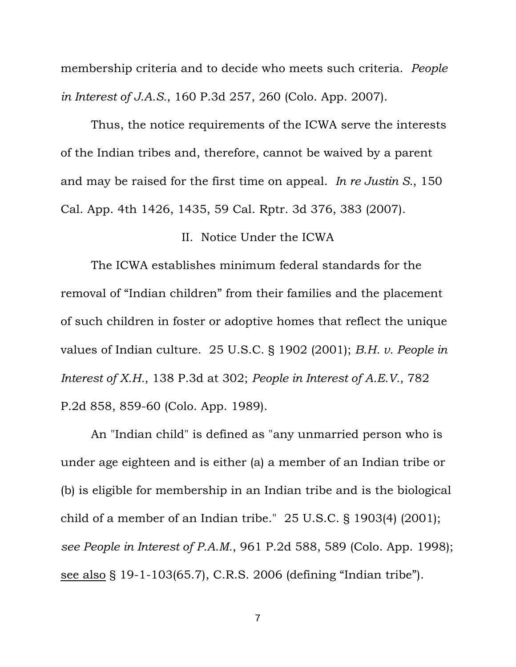membership criteria and to decide who meets such criteria. *People in Interest of J.A.S.*, 160 P.3d 257, 260 (Colo. App. 2007).

 Thus, the notice requirements of the ICWA serve the interests of the Indian tribes and, therefore, cannot be waived by a parent and may be raised for the first time on appeal. *In re Justin S.*, 150 Cal. App. 4th 1426, 1435, 59 Cal. Rptr. 3d 376, 383 (2007).

## II. Notice Under the ICWA

 The ICWA establishes minimum federal standards for the removal of "Indian children" from their families and the placement of such children in foster or adoptive homes that reflect the unique values of Indian culture. 25 U.S.C. § 1902 (2001); *B.H. v. People in Interest of X.H.*, 138 P.3d at 302; *People in Interest of A.E.V.*, 782 P.2d 858, 859-60 (Colo. App. 1989).

 An "Indian child" is defined as "any unmarried person who is under age eighteen and is either (a) a member of an Indian tribe or (b) is eligible for membership in an Indian tribe and is the biological child of a member of an Indian tribe." 25 U.S.C. § 1903(4) (2001); *see People in Interest of P.A.M.*, 961 P.2d 588, 589 (Colo. App. 1998); see also § 19-1-103(65.7), C.R.S. 2006 (defining "Indian tribe").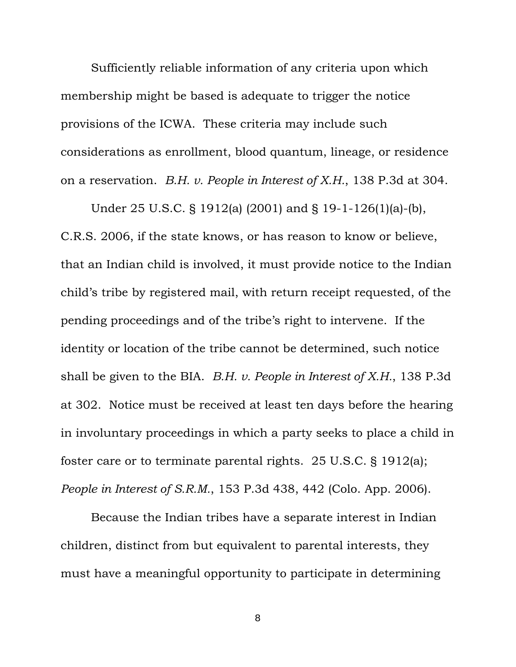Sufficiently reliable information of any criteria upon which membership might be based is adequate to trigger the notice provisions of the ICWA. These criteria may include such considerations as enrollment, blood quantum, lineage, or residence on a reservation. *B.H. v. People in Interest of X.H.*, 138 P.3d at 304.

 Under 25 U.S.C. § 1912(a) (2001) and § 19-1-126(1)(a)-(b), C.R.S. 2006, if the state knows, or has reason to know or believe, that an Indian child is involved, it must provide notice to the Indian child's tribe by registered mail, with return receipt requested, of the pending proceedings and of the tribe's right to intervene. If the identity or location of the tribe cannot be determined, such notice shall be given to the BIA. *B.H. v. People in Interest of X.H.*, 138 P.3d at 302. Notice must be received at least ten days before the hearing in involuntary proceedings in which a party seeks to place a child in foster care or to terminate parental rights. 25 U.S.C. § 1912(a); *People in Interest of S.R.M.*, 153 P.3d 438, 442 (Colo. App. 2006).

 Because the Indian tribes have a separate interest in Indian children, distinct from but equivalent to parental interests, they must have a meaningful opportunity to participate in determining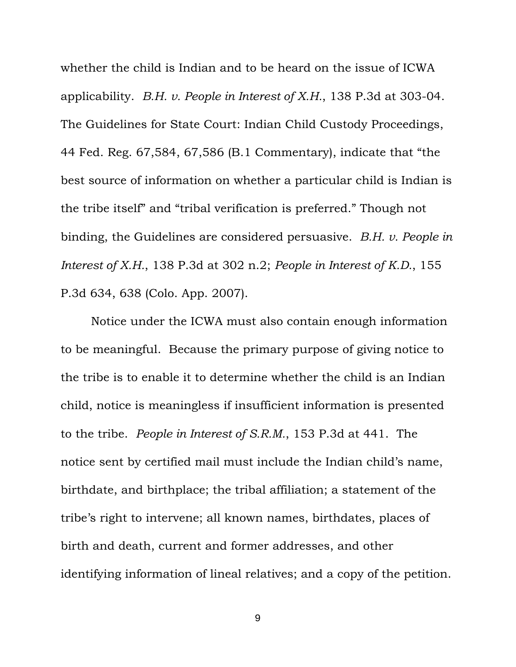whether the child is Indian and to be heard on the issue of ICWA applicability. *B.H. v. People in Interest of X.H.*, 138 P.3d at 303-04. The Guidelines for State Court: Indian Child Custody Proceedings, 44 Fed. Reg. 67,584, 67,586 (B.1 Commentary), indicate that "the best source of information on whether a particular child is Indian is the tribe itself" and "tribal verification is preferred." Though not binding, the Guidelines are considered persuasive. *B.H. v. People in Interest of X.H.*, 138 P.3d at 302 n.2; *People in Interest of K.D.*, 155 P.3d 634, 638 (Colo. App. 2007).

 Notice under the ICWA must also contain enough information to be meaningful. Because the primary purpose of giving notice to the tribe is to enable it to determine whether the child is an Indian child, notice is meaningless if insufficient information is presented to the tribe. *People in Interest of S.R.M.*, 153 P.3d at 441. The notice sent by certified mail must include the Indian child's name, birthdate, and birthplace; the tribal affiliation; a statement of the tribe's right to intervene; all known names, birthdates, places of birth and death, current and former addresses, and other identifying information of lineal relatives; and a copy of the petition.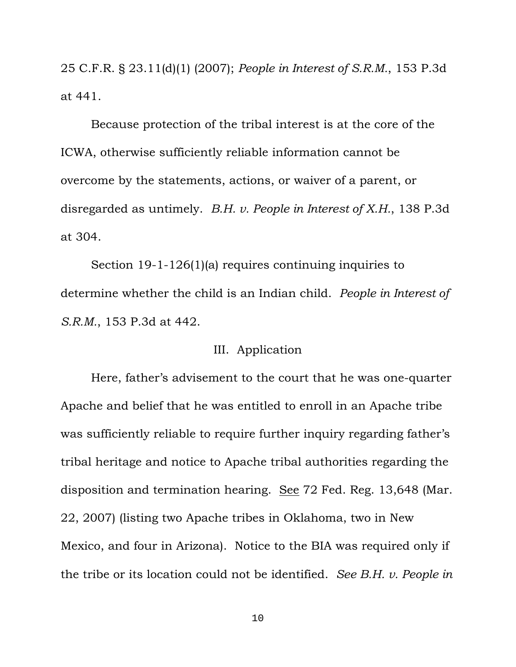25 C.F.R. § 23.11(d)(1) (2007); *People in Interest of S.R.M.*, 153 P.3d at 441.

 Because protection of the tribal interest is at the core of the ICWA, otherwise sufficiently reliable information cannot be overcome by the statements, actions, or waiver of a parent, or disregarded as untimely. *B.H. v. People in Interest of X.H.*, 138 P.3d at 304.

 Section 19-1-126(1)(a) requires continuing inquiries to determine whether the child is an Indian child. *People in Interest of S.R.M.*, 153 P.3d at 442.

## III. Application

 Here, father's advisement to the court that he was one-quarter Apache and belief that he was entitled to enroll in an Apache tribe was sufficiently reliable to require further inquiry regarding father's tribal heritage and notice to Apache tribal authorities regarding the disposition and termination hearing. See 72 Fed. Reg. 13,648 (Mar. 22, 2007) (listing two Apache tribes in Oklahoma, two in New Mexico, and four in Arizona). Notice to the BIA was required only if the tribe or its location could not be identified. *See B.H. v. People in*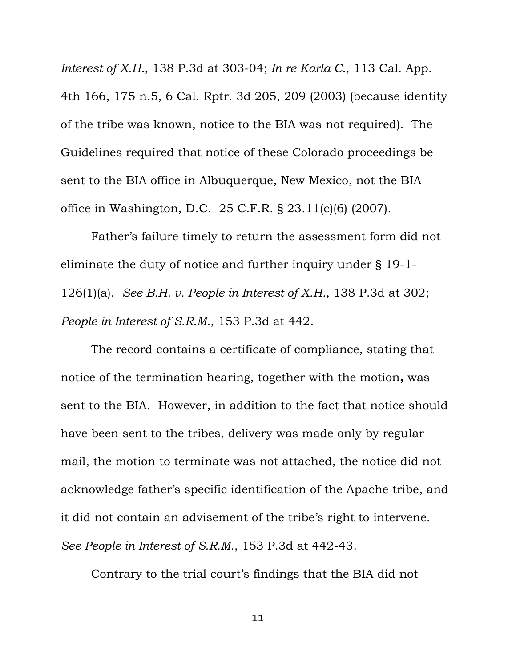*Interest of X.H.*, 138 P.3d at 303-04; *In re Karla C.*, 113 Cal. App. 4th 166, 175 n.5, 6 Cal. Rptr. 3d 205, 209 (2003) (because identity of the tribe was known, notice to the BIA was not required). The Guidelines required that notice of these Colorado proceedings be sent to the BIA office in Albuquerque, New Mexico, not the BIA office in Washington, D.C. 25 C.F.R. § 23.11(c)(6) (2007).

 Father's failure timely to return the assessment form did not eliminate the duty of notice and further inquiry under § 19-1- 126(1)(a). *See B.H. v. People in Interest of X.H.*, 138 P.3d at 302; *People in Interest of S.R.M.*, 153 P.3d at 442.

 The record contains a certificate of compliance, stating that notice of the termination hearing, together with the motion**,** was sent to the BIA. However, in addition to the fact that notice should have been sent to the tribes, delivery was made only by regular mail, the motion to terminate was not attached, the notice did not acknowledge father's specific identification of the Apache tribe, and it did not contain an advisement of the tribe's right to intervene. *See People in Interest of S.R.M.*, 153 P.3d at 442-43.

Contrary to the trial court's findings that the BIA did not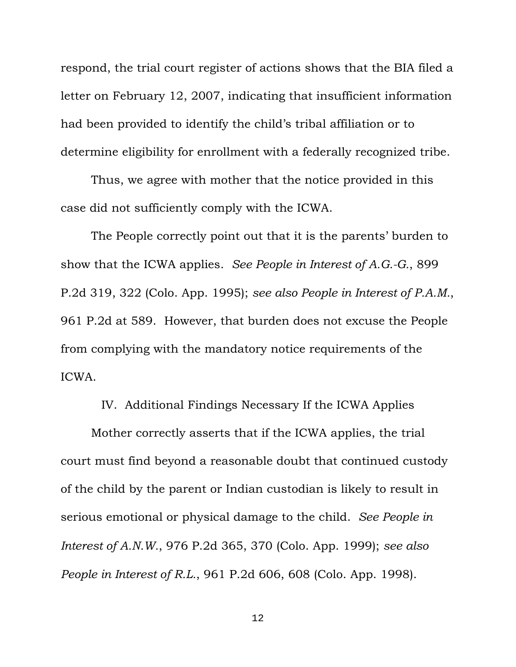respond, the trial court register of actions shows that the BIA filed a letter on February 12, 2007, indicating that insufficient information had been provided to identify the child's tribal affiliation or to determine eligibility for enrollment with a federally recognized tribe.

 Thus, we agree with mother that the notice provided in this case did not sufficiently comply with the ICWA.

 The People correctly point out that it is the parents' burden to show that the ICWA applies. *See People in Interest of A.G.-G.*, 899 P.2d 319, 322 (Colo. App. 1995); *see also People in Interest of P.A.M.*, 961 P.2d at 589. However, that burden does not excuse the People from complying with the mandatory notice requirements of the ICWA.

IV. Additional Findings Necessary If the ICWA Applies

 Mother correctly asserts that if the ICWA applies, the trial court must find beyond a reasonable doubt that continued custody of the child by the parent or Indian custodian is likely to result in serious emotional or physical damage to the child. *See People in Interest of A.N.W.*, 976 P.2d 365, 370 (Colo. App. 1999); *see also People in Interest of R.L.*, 961 P.2d 606, 608 (Colo. App. 1998).